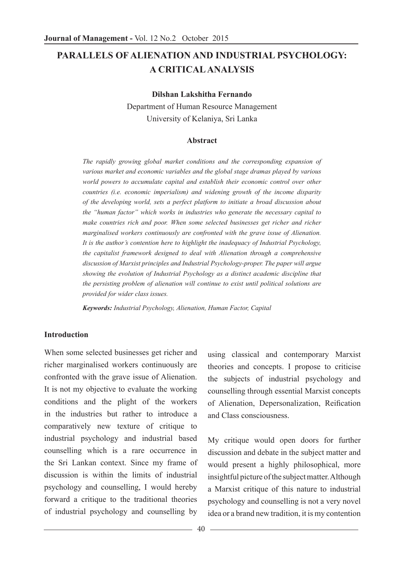# **PARALLELS OF ALIENATION AND INDUSTRIAL PSYCHOLOGY: A CRITICAL ANALYSIS**

**Dilshan Lakshitha Fernando**

Department of Human Resource Management University of Kelaniya, Sri Lanka

#### **Abstract**

*The rapidly growing global market conditions and the corresponding expansion of various market and economic variables and the global stage dramas played by various world powers to accumulate capital and establish their economic control over other countries (i.e. economic imperialism) and widening growth of the income disparity of the developing world, sets a perfect platform to initiate a broad discussion about the "human factor" which works in industries who generate the necessary capital to make countries rich and poor. When some selected businesses get richer and richer marginalised workers continuously are confronted with the grave issue of Alienation. It is the author's contention here to highlight the inadequacy of Industrial Psychology, the capitalist framework designed to deal with Alienation through a comprehensive discussion of Marxist principles and Industrial Psychology-proper. The paper will argue showing the evolution of Industrial Psychology as a distinct academic discipline that the persisting problem of alienation will continue to exist until political solutions are provided for wider class issues.*

*Keywords: Industrial Psychology, Alienation, Human Factor, Capital*

#### **Introduction**

When some selected businesses get richer and richer marginalised workers continuously are confronted with the grave issue of Alienation. It is not my objective to evaluate the working conditions and the plight of the workers in the industries but rather to introduce a comparatively new texture of critique to industrial psychology and industrial based counselling which is a rare occurrence in the Sri Lankan context. Since my frame of discussion is within the limits of industrial psychology and counselling, I would hereby forward a critique to the traditional theories of industrial psychology and counselling by

using classical and contemporary Marxist theories and concepts. I propose to criticise the subjects of industrial psychology and counselling through essential Marxist concepts of Alienation, Depersonalization, Reification and Class consciousness.

My critique would open doors for further discussion and debate in the subject matter and would present a highly philosophical, more insightful picture of the subject matter. Although a Marxist critique of this nature to industrial psychology and counselling is not a very novel idea or a brand new tradition, it is my contention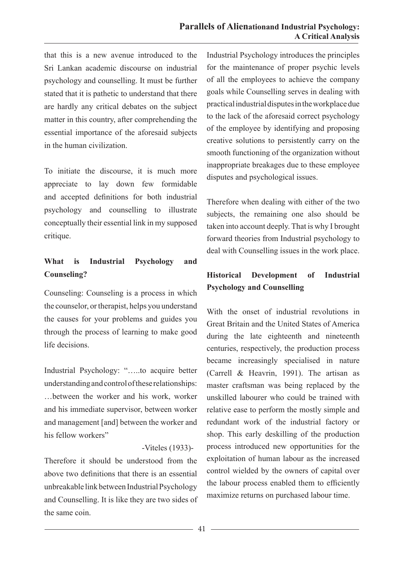that this is a new avenue introduced to the Sri Lankan academic discourse on industrial psychology and counselling. It must be further stated that it is pathetic to understand that there are hardly any critical debates on the subject matter in this country, after comprehending the essential importance of the aforesaid subjects in the human civilization.

To initiate the discourse, it is much more appreciate to lay down few formidable and accepted definitions for both industrial psychology and counselling to illustrate conceptually their essential link in my supposed critique.

# **What is Industrial Psychology and Counseling?**

Counseling: Counseling is a process in which the counselor, or therapist, helps you understand the causes for your problems and guides you through the process of learning to make good life decisions.

Industrial Psychology: "…..to acquire better understanding and control of these relationships: …between the worker and his work, worker and his immediate supervisor, between worker and management [and] between the worker and his fellow workers"

#### -Viteles (1933)-

Therefore it should be understood from the above two definitions that there is an essential unbreakable link between Industrial Psychology and Counselling. It is like they are two sides of the same coin.

Industrial Psychology introduces the principles for the maintenance of proper psychic levels of all the employees to achieve the company goals while Counselling serves in dealing with practical industrial disputes in the workplace due to the lack of the aforesaid correct psychology of the employee by identifying and proposing creative solutions to persistently carry on the smooth functioning of the organization without inappropriate breakages due to these employee disputes and psychological issues.

Therefore when dealing with either of the two subjects, the remaining one also should be taken into account deeply. That is why I brought forward theories from Industrial psychology to deal with Counselling issues in the work place.

# **Historical Development of Industrial Psychology and Counselling**

With the onset of industrial revolutions in Great Britain and the United States of America during the late eighteenth and nineteenth centuries, respectively, the production process became increasingly specialised in nature (Carrell & Heavrin, 1991). The artisan as master craftsman was being replaced by the unskilled labourer who could be trained with relative ease to perform the mostly simple and redundant work of the industrial factory or shop. This early deskilling of the production process introduced new opportunities for the exploitation of human labour as the increased control wielded by the owners of capital over the labour process enabled them to efficiently maximize returns on purchased labour time.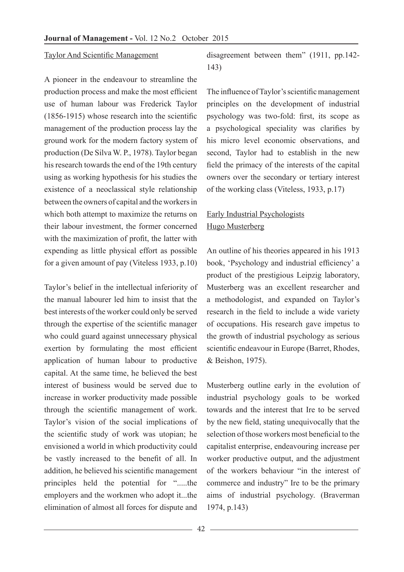#### Taylor And Scientific Management

A pioneer in the endeavour to streamline the production process and make the most efficient use of human labour was Frederick Taylor (1856-1915) whose research into the scientific management of the production process lay the ground work for the modern factory system of production (De Silva W. P., 1978). Taylor began his research towards the end of the 19th century using as working hypothesis for his studies the existence of a neoclassical style relationship between the owners of capital and the workers in which both attempt to maximize the returns on their labour investment, the former concerned with the maximization of profit, the latter with expending as little physical effort as possible for a given amount of pay (Viteless 1933, p.10)

Taylor's belief in the intellectual inferiority of the manual labourer led him to insist that the best interests of the worker could only be served through the expertise of the scientific manager who could guard against unnecessary physical exertion by formulating the most efficient application of human labour to productive capital. At the same time, he believed the best interest of business would be served due to increase in worker productivity made possible through the scientific management of work. Taylor's vision of the social implications of the scientific study of work was utopian; he envisioned a world in which productivity could be vastly increased to the benefit of all. In addition, he believed his scientific management principles held the potential for ".....the employers and the workmen who adopt it...the elimination of almost all forces for dispute and

disagreement between them" (1911, pp.142- 143)

The influence of Taylor's scientific management principles on the development of industrial psychology was two-fold: first, its scope as a psychological speciality was clarifies by his micro level economic observations, and second, Taylor had to establish in the new field the primacy of the interests of the capital owners over the secondary or tertiary interest of the working class (Viteless, 1933, p.17)

# Early Industrial Psychologists Hugo Musterberg

An outline of his theories appeared in his 1913 book, 'Psychology and industrial efficiency' a product of the prestigious Leipzig laboratory, Musterberg was an excellent researcher and a methodologist, and expanded on Taylor's research in the field to include a wide variety of occupations. His research gave impetus to the growth of industrial psychology as serious scientific endeavour in Europe (Barret, Rhodes, & Beishon, 1975).

Musterberg outline early in the evolution of industrial psychology goals to be worked towards and the interest that Ire to be served by the new field, stating unequivocally that the selection of those workers most beneficial to the capitalist enterprise, endeavouring increase per worker productive output, and the adjustment of the workers behaviour "in the interest of commerce and industry" Ire to be the primary aims of industrial psychology. (Braverman 1974, p.143)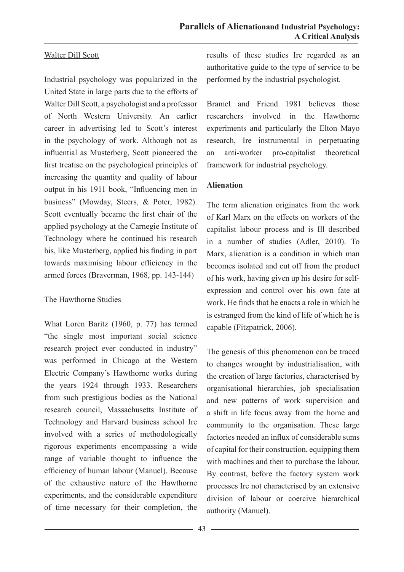### Walter Dill Scott

Industrial psychology was popularized in the United State in large parts due to the efforts of Walter Dill Scott, a psychologist and a professor of North Western University. An earlier career in advertising led to Scott's interest in the psychology of work. Although not as influential as Musterberg, Scott pioneered the first treatise on the psychological principles of increasing the quantity and quality of labour output in his 1911 book, "Influencing men in business" (Mowday, Steers, & Poter, 1982). Scott eventually became the first chair of the applied psychology at the Carnegie Institute of Technology where he continued his research his, like Musterberg, applied his finding in part towards maximising labour efficiency in the armed forces (Braverman, 1968, pp. 143-144)

### The Hawthorne Studies

What Loren Baritz (1960, p. 77) has termed "the single most important social science research project ever conducted in industry" was performed in Chicago at the Western Electric Company's Hawthorne works during the years 1924 through 1933. Researchers from such prestigious bodies as the National research council, Massachusetts Institute of Technology and Harvard business school Ire involved with a series of methodologically rigorous experiments encompassing a wide range of variable thought to influence the efficiency of human labour (Manuel). Because of the exhaustive nature of the Hawthorne experiments, and the considerable expenditure of time necessary for their completion, the results of these studies Ire regarded as an authoritative guide to the type of service to be performed by the industrial psychologist.

Bramel and Friend 1981 believes those researchers involved in the Hawthorne experiments and particularly the Elton Mayo research, Ire instrumental in perpetuating an anti-worker pro-capitalist theoretical framework for industrial psychology.

### **Alienation**

The term alienation originates from the work of Karl Marx on the effects on workers of the capitalist labour process and is Ill described in a number of studies (Adler, 2010). To Marx, alienation is a condition in which man becomes isolated and cut off from the product of his work, having given up his desire for selfexpression and control over his own fate at work. He finds that he enacts a role in which he is estranged from the kind of life of which he is capable (Fitzpatrick, 2006).

The genesis of this phenomenon can be traced to changes wrought by industrialisation, with the creation of large factories, characterised by organisational hierarchies, job specialisation and new patterns of work supervision and a shift in life focus away from the home and community to the organisation. These large factories needed an influx of considerable sums of capital for their construction, equipping them with machines and then to purchase the labour. By contrast, before the factory system work processes Ire not characterised by an extensive division of labour or coercive hierarchical authority (Manuel).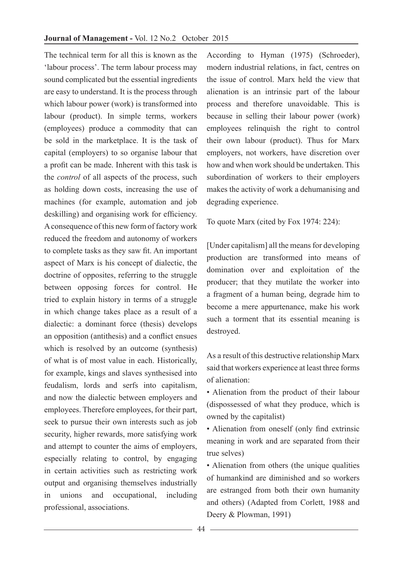The technical term for all this is known as the 'labour process'. The term labour process may sound complicated but the essential ingredients are easy to understand. It is the process through which labour power (work) is transformed into labour (product). In simple terms, workers (employees) produce a commodity that can be sold in the marketplace. It is the task of capital (employers) to so organise labour that a profit can be made. Inherent with this task is the *control* of all aspects of the process, such as holding down costs, increasing the use of machines (for example, automation and job deskilling) and organising work for efficiency. A consequence of this new form of factory work reduced the freedom and autonomy of workers to complete tasks as they saw fit. An important aspect of Marx is his concept of dialectic, the doctrine of opposites, referring to the struggle between opposing forces for control. He tried to explain history in terms of a struggle in which change takes place as a result of a dialectic: a dominant force (thesis) develops an opposition (antithesis) and a conflict ensues which is resolved by an outcome (synthesis) of what is of most value in each. Historically, for example, kings and slaves synthesised into feudalism, lords and serfs into capitalism, and now the dialectic between employers and employees. Therefore employees, for their part, seek to pursue their own interests such as job security, higher rewards, more satisfying work and attempt to counter the aims of employers, especially relating to control, by engaging in certain activities such as restricting work output and organising themselves industrially in unions and occupational, including professional, associations.

According to Hyman (1975) (Schroeder), modern industrial relations, in fact, centres on the issue of control. Marx held the view that alienation is an intrinsic part of the labour process and therefore unavoidable. This is because in selling their labour power (work) employees relinquish the right to control their own labour (product). Thus for Marx employers, not workers, have discretion over how and when work should be undertaken. This subordination of workers to their employers makes the activity of work a dehumanising and degrading experience.

To quote Marx (cited by Fox 1974: 224):

[Under capitalism] all the means for developing production are transformed into means of domination over and exploitation of the producer; that they mutilate the worker into a fragment of a human being, degrade him to become a mere appurtenance, make his work such a torment that its essential meaning is destroyed.

As a result of this destructive relationship Marx said that workers experience at least three forms of alienation:

• Alienation from the product of their labour (dispossessed of what they produce, which is owned by the capitalist)

• Alienation from oneself (only find extrinsic meaning in work and are separated from their true selves)

• Alienation from others (the unique qualities of humankind are diminished and so workers are estranged from both their own humanity and others) (Adapted from Corlett, 1988 and Deery & Plowman, 1991)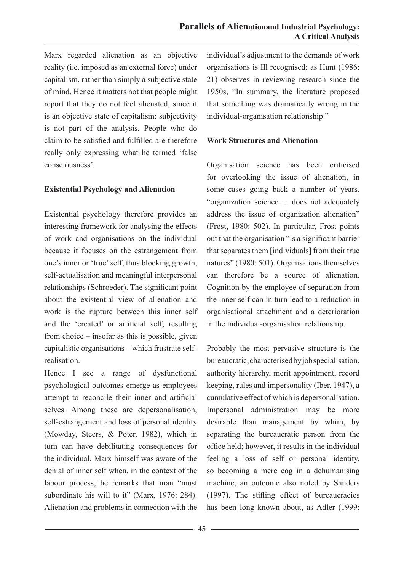Marx regarded alienation as an objective reality (i.e. imposed as an external force) under capitalism, rather than simply a subjective state of mind. Hence it matters not that people might report that they do not feel alienated, since it is an objective state of capitalism: subjectivity is not part of the analysis. People who do claim to be satisfied and fulfilled are therefore really only expressing what he termed 'false consciousness'*.*

#### **Existential Psychology and Alienation**

Existential psychology therefore provides an interesting framework for analysing the effects of work and organisations on the individual because it focuses on the estrangement from one's inner or 'true' self, thus blocking growth, self-actualisation and meaningful interpersonal relationships (Schroeder). The significant point about the existential view of alienation and work is the rupture between this inner self and the 'created' or artificial self, resulting from choice – insofar as this is possible, given capitalistic organisations – which frustrate selfrealisation.

Hence I see a range of dysfunctional psychological outcomes emerge as employees attempt to reconcile their inner and artificial selves. Among these are depersonalisation, self-estrangement and loss of personal identity (Mowday, Steers, & Poter, 1982), which in turn can have debilitating consequences for the individual. Marx himself was aware of the denial of inner self when, in the context of the labour process, he remarks that man "must subordinate his will to it" (Marx, 1976: 284). Alienation and problems in connection with the

individual's adjustment to the demands of work organisations is Ill recognised; as Hunt (1986: 21) observes in reviewing research since the 1950s, "In summary, the literature proposed that something was dramatically wrong in the individual-organisation relationship."

#### **Work Structures and Alienation**

Organisation science has been criticised for overlooking the issue of alienation, in some cases going back a number of years, "organization science ... does not adequately address the issue of organization alienation" (Frost, 1980: 502). In particular, Frost points out that the organisation "is a significant barrier that separates them [individuals] from their true natures" (1980: 501). Organisations themselves can therefore be a source of alienation. Cognition by the employee of separation from the inner self can in turn lead to a reduction in organisational attachment and a deterioration in the individual-organisation relationship.

Probably the most pervasive structure is the bureaucratic, characterised by job specialisation, authority hierarchy, merit appointment, record keeping, rules and impersonality (Iber, 1947), a cumulative effect of which is depersonalisation. Impersonal administration may be more desirable than management by whim, by separating the bureaucratic person from the office held; however, it results in the individual feeling a loss of self or personal identity, so becoming a mere cog in a dehumanising machine, an outcome also noted by Sanders (1997). The stifling effect of bureaucracies has been long known about, as Adler (1999: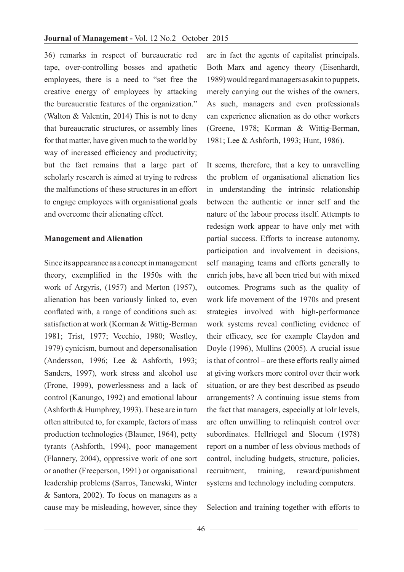36) remarks in respect of bureaucratic red tape, over-controlling bosses and apathetic employees, there is a need to "set free the creative energy of employees by attacking the bureaucratic features of the organization." (Walton & Valentin, 2014) This is not to deny that bureaucratic structures, or assembly lines for that matter, have given much to the world by way of increased efficiency and productivity; but the fact remains that a large part of scholarly research is aimed at trying to redress the malfunctions of these structures in an effort to engage employees with organisational goals and overcome their alienating effect.

#### **Management and Alienation**

Since its appearance as a concept in management theory, exemplified in the 1950s with the work of Argyris, (1957) and Merton (1957), alienation has been variously linked to, even conflated with, a range of conditions such as: satisfaction at work (Korman & Wittig-Berman 1981; Trist, 1977; Vecchio, 1980; Westley, 1979) cynicism, burnout and depersonalisation (Andersson, 1996; Lee & Ashforth, 1993; Sanders, 1997), work stress and alcohol use (Frone, 1999), powerlessness and a lack of control (Kanungo, 1992) and emotional labour (Ashforth & Humphrey, 1993). These are in turn often attributed to, for example, factors of mass production technologies (Blauner, 1964), petty tyrants (Ashforth, 1994), poor management (Flannery, 2004), oppressive work of one sort or another (Freeperson, 1991) or organisational leadership problems (Sarros, Tanewski, Winter & Santora, 2002). To focus on managers as a cause may be misleading, however, since they

are in fact the agents of capitalist principals. Both Marx and agency theory (Eisenhardt, 1989) would regard managers as akin to puppets, merely carrying out the wishes of the owners. As such, managers and even professionals can experience alienation as do other workers (Greene, 1978; Korman & Wittig-Berman, 1981; Lee & Ashforth, 1993; Hunt, 1986).

It seems, therefore, that a key to unravelling the problem of organisational alienation lies in understanding the intrinsic relationship between the authentic or inner self and the nature of the labour process itself. Attempts to redesign work appear to have only met with partial success. Efforts to increase autonomy, participation and involvement in decisions, self managing teams and efforts generally to enrich jobs, have all been tried but with mixed outcomes. Programs such as the quality of work life movement of the 1970s and present strategies involved with high-performance work systems reveal conflicting evidence of their efficacy, see for example Claydon and Doyle (1996), Mullins (2005). A crucial issue is that of control – are these efforts really aimed at giving workers more control over their work situation, or are they best described as pseudo arrangements? A continuing issue stems from the fact that managers, especially at loIr levels, are often unwilling to relinquish control over subordinates. Hellriegel and Slocum (1978) report on a number of less obvious methods of control, including budgets, structure, policies, recruitment, training, reward/punishment systems and technology including computers.

Selection and training together with efforts to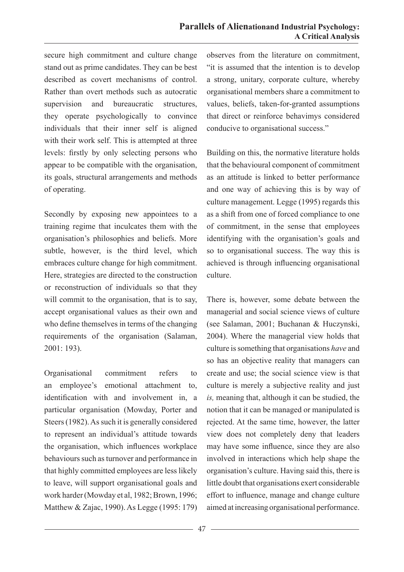secure high commitment and culture change stand out as prime candidates. They can be best described as covert mechanisms of control. Rather than overt methods such as autocratic supervision and bureaucratic structures, they operate psychologically to convince individuals that their inner self is aligned with their work self. This is attempted at three levels: firstly by only selecting persons who appear to be compatible with the organisation, its goals, structural arrangements and methods of operating.

Secondly by exposing new appointees to a training regime that inculcates them with the organisation's philosophies and beliefs. More subtle, however, is the third level, which embraces culture change for high commitment. Here, strategies are directed to the construction or reconstruction of individuals so that they will commit to the organisation, that is to say, accept organisational values as their own and who define themselves in terms of the changing requirements of the organisation (Salaman, 2001: 193).

Organisational commitment refers to an employee's emotional attachment to, identification with and involvement in, a particular organisation (Mowday, Porter and Steers (1982). As such it is generally considered to represent an individual's attitude towards the organisation, which influences workplace behaviours such as turnover and performance in that highly committed employees are less likely to leave, will support organisational goals and work harder (Mowday et al, 1982; Brown, 1996; Matthew & Zajac, 1990). As Legge (1995: 179)

observes from the literature on commitment, "it is assumed that the intention is to develop a strong, unitary, corporate culture, whereby organisational members share a commitment to values, beliefs, taken-for-granted assumptions that direct or reinforce behavimys considered conducive to organisational success."

Building on this, the normative literature holds that the behavioural component of commitment as an attitude is linked to better performance and one way of achieving this is by way of culture management. Legge (1995) regards this as a shift from one of forced compliance to one of commitment, in the sense that employees identifying with the organisation's goals and so to organisational success. The way this is achieved is through influencing organisational culture.

There is, however, some debate between the managerial and social science views of culture (see Salaman, 2001; Buchanan & Huczynski, 2004). Where the managerial view holds that culture is something that organisations *have* and so has an objective reality that managers can create and use; the social science view is that culture is merely a subjective reality and just *is,* meaning that, although it can be studied, the notion that it can be managed or manipulated is rejected. At the same time, however, the latter view does not completely deny that leaders may have some influence, since they are also involved in interactions which help shape the organisation's culture. Having said this, there is little doubt that organisations exert considerable effort to influence, manage and change culture aimed at increasing organisational performance.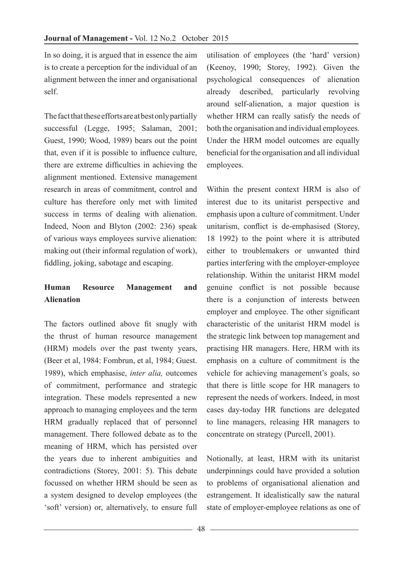In so doing, it is argued that in essence the aim is to create a perception for the individual of an alignment between the inner and organisational self.

The fact that these efforts are at best only partially successful (Legge, 1995; Salaman, 2001; Guest, 1990; Wood, 1989) bears out the point that, even if it is possible to influence culture, there are extreme difficulties in achieving the alignment mentioned. Extensive management research in areas of commitment, control and culture has therefore only met with limited success in terms of dealing with alienation. Indeed, Noon and Blyton (2002: 236) speak of various ways employees survive alienation: making out (their informal regulation of work), fiddling, joking, sabotage and escaping.

## **Human Resource Management and Alienation**

The factors outlined above fit snugly with the thrust of human resource management (HRM) models over the past twenty years, (Beer et al, 1984: Fombrun, et al, 1984; Guest. 1989), which emphasise, *inter alia,* outcomes of commitment, performance and strategic integration. These models represented a new approach to managing employees and the term HRM gradually replaced that of personnel management. There followed debate as to the meaning of HRM, which has persisted over the years due to inherent ambiguities and contradictions (Storey, 2001: 5). This debate focussed on whether HRM should be seen as a system designed to develop employees (the 'soft' version) or, alternatively, to ensure full

utilisation of employees (the 'hard' version) (Keenoy, 1990; Storey, 1992). Given the psychological consequences of alienation already described, particularly revolving around self-alienation, a major question is whether HRM can really satisfy the needs of both the organisation and individual employees. Under the HRM model outcomes are equally beneficial for the organisation and all individual employees.

Within the present context HRM is also of interest due to its unitarist perspective and emphasis upon a culture of commitment. Under unitarism, conflict is de-emphasised (Storey, 18 1992) to the point where it is attributed either to troublemakers or unwanted third parties interfering with the employer-employee relationship. Within the unitarist HRM model genuine conflict is not possible because there is a conjunction of interests between employer and employee. The other significant characteristic of the unitarist HRM model is the strategic link between top management and practising HR managers. Here, HRM with its emphasis on a culture of commitment is the vehicle for achieving management's goals, so that there is little scope for HR managers to represent the needs of workers. Indeed, in most cases day-today HR functions are delegated to line managers, releasing HR managers to concentrate on strategy (Purcell, 2001).

Notionally, at least, HRM with its unitarist underpinnings could have provided a solution to problems of organisational alienation and estrangement. It idealistically saw the natural state of employer-employee relations as one of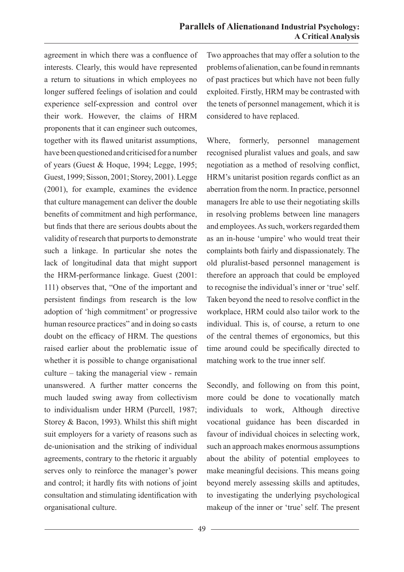agreement in which there was a confluence of interests. Clearly, this would have represented a return to situations in which employees no longer suffered feelings of isolation and could experience self-expression and control over their work. However, the claims of HRM proponents that it can engineer such outcomes, together with its flawed unitarist assumptions, have been questioned and criticised for a number of years (Guest & Hoque, 1994; Legge, 1995; Guest, 1999; Sisson, 2001; Storey, 2001). Legge (2001), for example, examines the evidence that culture management can deliver the double benefits of commitment and high performance, but finds that there are serious doubts about the validity of research that purports to demonstrate such a linkage. In particular she notes the lack of longitudinal data that might support the HRM-performance linkage. Guest (2001: 111) observes that, "One of the important and persistent findings from research is the low adoption of 'high commitment' or progressive human resource practices" and in doing so casts doubt on the efficacy of HRM. The questions raised earlier about the problematic issue of whether it is possible to change organisational culture – taking the managerial view - remain unanswered. A further matter concerns the much lauded swing away from collectivism to individualism under HRM (Purcell, 1987; Storey & Bacon, 1993). Whilst this shift might suit employers for a variety of reasons such as de-unionisation and the striking of individual agreements, contrary to the rhetoric it arguably serves only to reinforce the manager's power and control; it hardly fits with notions of joint consultation and stimulating identification with organisational culture.

Two approaches that may offer a solution to the problems of alienation, can be found in remnants of past practices but which have not been fully exploited. Firstly, HRM may be contrasted with the tenets of personnel management, which it is considered to have replaced.

Where, formerly, personnel management recognised pluralist values and goals, and saw negotiation as a method of resolving conflict, HRM's unitarist position regards conflict as an aberration from the norm. In practice, personnel managers Ire able to use their negotiating skills in resolving problems between line managers and employees. As such, workers regarded them as an in-house 'umpire' who would treat their complaints both fairly and dispassionately. The old pluralist-based personnel management is therefore an approach that could be employed to recognise the individual's inner or 'true' self. Taken beyond the need to resolve conflict in the workplace, HRM could also tailor work to the individual. This is, of course, a return to one of the central themes of ergonomics, but this time around could be specifically directed to matching work to the true inner self.

Secondly, and following on from this point, more could be done to vocationally match individuals to work, Although directive vocational guidance has been discarded in favour of individual choices in selecting work, such an approach makes enormous assumptions about the ability of potential employees to make meaningful decisions. This means going beyond merely assessing skills and aptitudes, to investigating the underlying psychological makeup of the inner or 'true' self. The present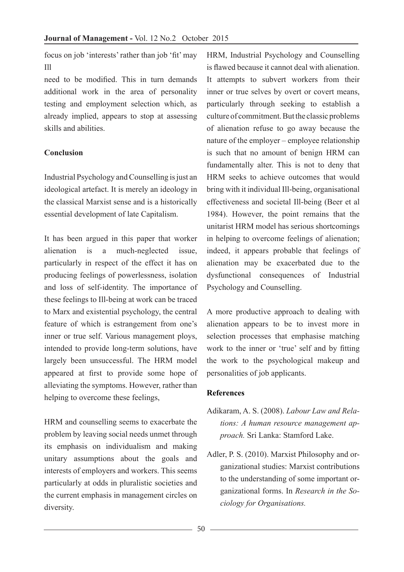focus on job 'interests' rather than job 'fit' may Ill

need to be modified. This in turn demands additional work in the area of personality testing and employment selection which, as already implied, appears to stop at assessing skills and abilities.

### **Conclusion**

Industrial Psychology and Counselling is just an ideological artefact. It is merely an ideology in the classical Marxist sense and is a historically essential development of late Capitalism.

It has been argued in this paper that worker alienation is a much-neglected issue, particularly in respect of the effect it has on producing feelings of powerlessness, isolation and loss of self-identity. The importance of these feelings to Ill-being at work can be traced to Marx and existential psychology, the central feature of which is estrangement from one's inner or true self. Various management ploys, intended to provide long-term solutions, have largely been unsuccessful. The HRM model appeared at first to provide some hope of alleviating the symptoms. However, rather than helping to overcome these feelings,

HRM and counselling seems to exacerbate the problem by leaving social needs unmet through its emphasis on individualism and making unitary assumptions about the goals and interests of employers and workers. This seems particularly at odds in pluralistic societies and the current emphasis in management circles on diversity.

HRM, Industrial Psychology and Counselling is flawed because it cannot deal with alienation. It attempts to subvert workers from their inner or true selves by overt or covert means, particularly through seeking to establish a culture of commitment. But the classic problems of alienation refuse to go away because the nature of the employer – employee relationship is such that no amount of benign HRM can fundamentally alter. This is not to deny that HRM seeks to achieve outcomes that would bring with it individual Ill-being, organisational effectiveness and societal Ill-being (Beer et al 1984). However, the point remains that the unitarist HRM model has serious shortcomings in helping to overcome feelings of alienation; indeed, it appears probable that feelings of alienation may be exacerbated due to the dysfunctional consequences of Industrial Psychology and Counselling.

A more productive approach to dealing with alienation appears to be to invest more in selection processes that emphasise matching work to the inner or 'true' self and by fitting the work to the psychological makeup and personalities of job applicants.

### **References**

- Adikaram, A. S. (2008). *Labour Law and Relations: A human resource management approach.* Sri Lanka: Stamford Lake.
- Adler, P. S. (2010). Marxist Philosophy and organizational studies: Marxist contributions to the understanding of some important organizational forms. In *Research in the Sociology for Organisations.*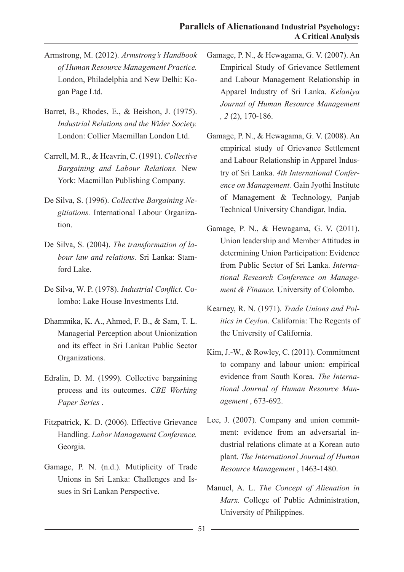- Armstrong, M. (2012). *Armstrong's Handbook of Human Resource Management Practice.* London, Philadelphia and New Delhi: Kogan Page Ltd.
- Barret, B., Rhodes, E., & Beishon, J. (1975). *Industrial Relations and the Wider Society.* London: Collier Macmillan London Ltd.
- Carrell, M. R., & Heavrin, C. (1991). *Collective Bargaining and Labour Relations.* New York: Macmillan Publishing Company.
- De Silva, S. (1996). *Collective Bargaining Negitiations.* International Labour Organization.
- De Silva, S. (2004). *The transformation of labour law and relations.* Sri Lanka: Stamford Lake.
- De Silva, W. P. (1978). *Industrial Conflict.* Colombo: Lake House Investments Ltd.
- Dhammika, K. A., Ahmed, F. B., & Sam, T. L. Managerial Perception about Unionization and its effect in Sri Lankan Public Sector Organizations.
- Edralin, D. M. (1999). Collective bargaining process and its outcomes. *CBE Working Paper Series* .
- Fitzpatrick, K. D. (2006). Effective Grievance Handling. *Labor Management Conference.* Georgia.
- Gamage, P. N. (n.d.). Mutiplicity of Trade Unions in Sri Lanka: Challenges and Issues in Sri Lankan Perspective.
- Gamage, P. N., & Hewagama, G. V. (2007). An Empirical Study of Grievance Settlement and Labour Management Relationship in Apparel Industry of Sri Lanka. *Kelaniya Journal of Human Resource Management , 2* (2), 170-186.
- Gamage, P. N., & Hewagama, G. V. (2008). An empirical study of Grievance Settlement and Labour Relationship in Apparel Industry of Sri Lanka. *4th International Conference on Management.* Gain Jyothi Institute of Management & Technology, Panjab Technical University Chandigar, India.
- Gamage, P. N., & Hewagama, G. V. (2011). Union leadership and Member Attitudes in determining Union Participation: Evidence from Public Sector of Sri Lanka. *International Research Conference on Management & Finance.* University of Colombo.
- Kearney, R. N. (1971). *Trade Unions and Politics in Ceylon.* California: The Regents of the University of California.
- Kim, J.-W., & Rowley, C. (2011). Commitment to company and labour union: empirical evidence from South Korea. *The International Journal of Human Resource Management* , 673-692.
- Lee, J. (2007). Company and union commitment: evidence from an adversarial industrial relations climate at a Korean auto plant. *The International Journal of Human Resource Management* , 1463-1480.
- Manuel, A. L. *The Concept of Alienation in Marx.* College of Public Administration, University of Philippines.